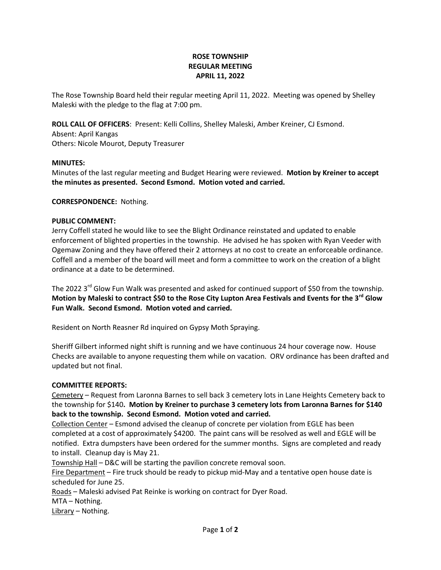# **ROSE TOWNSHIP REGULAR MEETING APRIL 11, 2022**

The Rose Township Board held their regular meeting April 11, 2022. Meeting was opened by Shelley Maleski with the pledge to the flag at 7:00 pm.

**ROLL CALL OF OFFICERS**: Present: Kelli Collins, Shelley Maleski, Amber Kreiner, CJ Esmond.

Absent: April Kangas Others: Nicole Mourot, Deputy Treasurer

# **MINUTES:**

Minutes of the last regular meeting and Budget Hearing were reviewed. **Motion by Kreiner to accept the minutes as presented. Second Esmond. Motion voted and carried.**

# **CORRESPONDENCE:** Nothing.

# **PUBLIC COMMENT:**

Jerry Coffell stated he would like to see the Blight Ordinance reinstated and updated to enable enforcement of blighted properties in the township. He advised he has spoken with Ryan Veeder with Ogemaw Zoning and they have offered their 2 attorneys at no cost to create an enforceable ordinance. Coffell and a member of the board will meet and form a committee to work on the creation of a blight ordinance at a date to be determined.

The 2022 3<sup>rd</sup> Glow Fun Walk was presented and asked for continued support of \$50 from the township. **Motion by Maleski to contract \$50 to the Rose City Lupton Area Festivals and Events for the 3rd Glow Fun Walk. Second Esmond. Motion voted and carried.**

Resident on North Reasner Rd inquired on Gypsy Moth Spraying.

Sheriff Gilbert informed night shift is running and we have continuous 24 hour coverage now. House Checks are available to anyone requesting them while on vacation. ORV ordinance has been drafted and updated but not final.

# **COMMITTEE REPORTS:**

Cemetery – Request from Laronna Barnes to sell back 3 cemetery lots in Lane Heights Cemetery back to the township for \$140**. Motion by Kreiner to purchase 3 cemetery lots from Laronna Barnes for \$140 back to the township. Second Esmond. Motion voted and carried.**

Collection Center – Esmond advised the cleanup of concrete per violation from EGLE has been completed at a cost of approximately \$4200. The paint cans will be resolved as well and EGLE will be notified. Extra dumpsters have been ordered for the summer months. Signs are completed and ready to install. Cleanup day is May 21.

Township Hall – D&C will be starting the pavilion concrete removal soon.

Fire Department – Fire truck should be ready to pickup mid-May and a tentative open house date is scheduled for June 25.

Roads – Maleski advised Pat Reinke is working on contract for Dyer Road.

MTA – Nothing.

Library – Nothing.